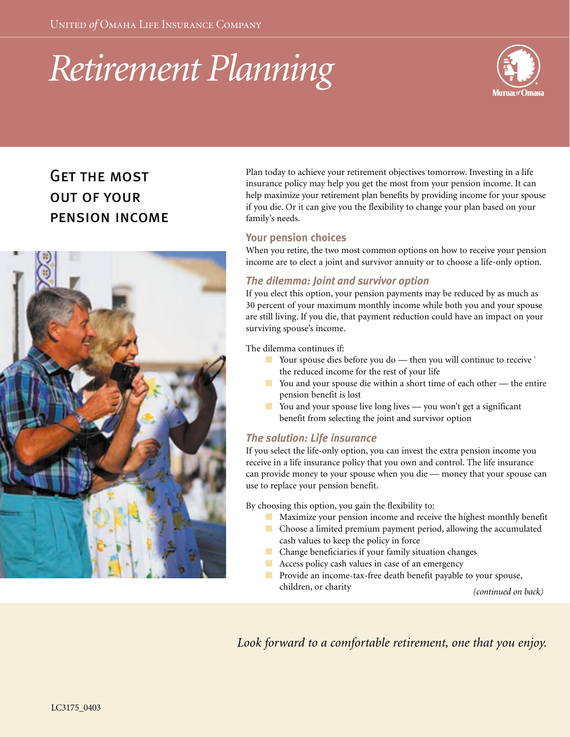# *Retirement Planning*



# Get the mostout of your pension income



Plan today to achieve your retirement objectives tomorrow. Investing in a life insurance policy may help you get the most from your pension income. It can help maximize your retirement plan benefits by providing income for your spouse if you die. Or it can give you the flexibility to change your plan based on your family's needs.

### **Your pension choices**

When you retire, the two most common options on how to receive your pension income are to elect a joint and survivor annuity or to choose a life-only option.

# *The dilemma: Joint and survivor option*

If you elect this option, your pension payments may be reduced by as much as 30 percent of your maximum monthly income while both you and your spouse are still living. If you die, that payment reduction could have an impact on your surviving spouse's income.

The dilemma continues if:

- Your spouse dies before you do then you will continue to receive ` the reduced income for the rest of your life
- You and your spouse die within a short time of each other the entire pension benefit is lost
- You and your spouse live long lives you won't get a significant benefit from selecting the joint and survivor option

# *The solution: Life insurance*

If you select the life-only option, you can invest the extra pension income you receive in a life insurance policy that you own and control. The life insurance can provide money to your spouse when you die — money that your spouse can use to replace your pension benefit.

By choosing this option, you gain the flexibility to:

- Maximize your pension income and receive the highest monthly benefit
- Choose a limited premium payment period, allowing the accumulated cash values to keep the policy in force
- Change beneficiaries if your family situation changes
- Access policy cash values in case of an emergency
- Provide an income-tax-free death benefit payable to your spouse, children, or charity *(continued on back)*

*Look forward to a comfortable retirement, one that you enjoy.*